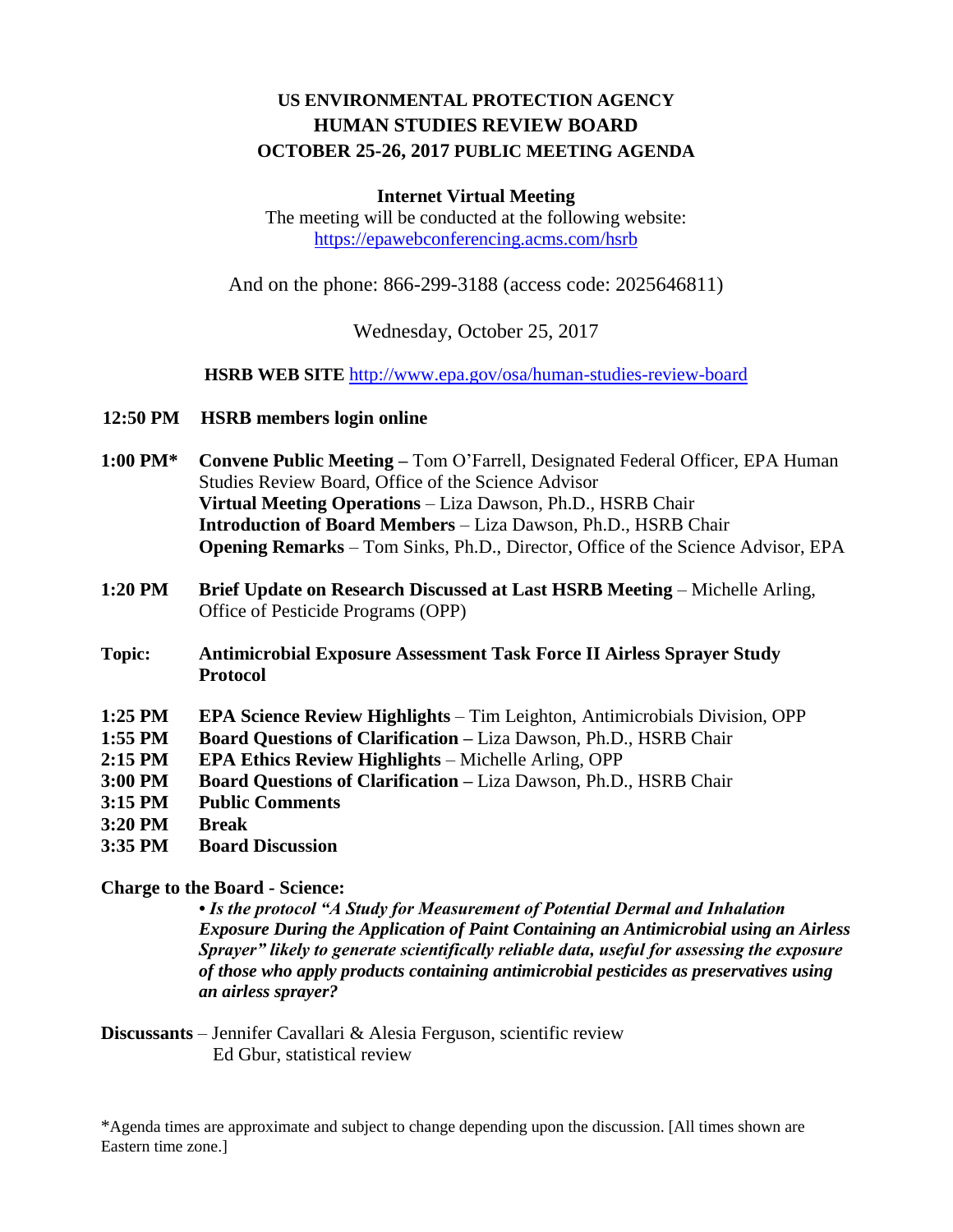# **US ENVIRONMENTAL PROTECTION AGENCY HUMAN STUDIES REVIEW BOARD OCTOBER 25-26, 2017 PUBLIC MEETING AGENDA**

## **Internet Virtual Meeting**

The meeting will be conducted at the following website: <https://epawebconferencing.acms.com/hsrb>

And on the phone: 866-299-3188 (access code: 2025646811)

Wednesday, October 25, 2017

**HSRB WEB SITE** <http://www.epa.gov/osa/human-studies-review-board>

- **12:50 PM HSRB members login online**
- **1:00 PM\* Convene Public Meeting –** Tom O'Farrell, Designated Federal Officer, EPA Human Studies Review Board, Office of the Science Advisor **Virtual Meeting Operations** – Liza Dawson, Ph.D., HSRB Chair **Introduction of Board Members** – Liza Dawson, Ph.D., HSRB Chair **Opening Remarks** – Tom Sinks, Ph.D., Director, Office of the Science Advisor, EPA
- **1:20 PM Brief Update on Research Discussed at Last HSRB Meeting** Michelle Arling, Office of Pesticide Programs (OPP)
- **Topic: Antimicrobial Exposure Assessment Task Force II Airless Sprayer Study Protocol**
- **1:25 PM EPA Science Review Highlights** Tim Leighton, Antimicrobials Division, OPP
- **1:55 PM Board Questions of Clarification –** Liza Dawson, Ph.D., HSRB Chair
- **2:15 PM EPA Ethics Review Highlights** Michelle Arling, OPP
- **3:00 PM Board Questions of Clarification –** Liza Dawson, Ph.D., HSRB Chair
- **3:15 PM Public Comments**
- **3:20 PM Break**
- **3:35 PM Board Discussion**

## **Charge to the Board - Science:**

*• Is the protocol "A Study for Measurement of Potential Dermal and Inhalation Exposure During the Application of Paint Containing an Antimicrobial using an Airless Sprayer" likely to generate scientifically reliable data, useful for assessing the exposure of those who apply products containing antimicrobial pesticides as preservatives using an airless sprayer?* 

**Discussants** – Jennifer Cavallari & Alesia Ferguson, scientific review Ed Gbur, statistical review

\*Agenda times are approximate and subject to change depending upon the discussion. [All times shown are Eastern time zone.]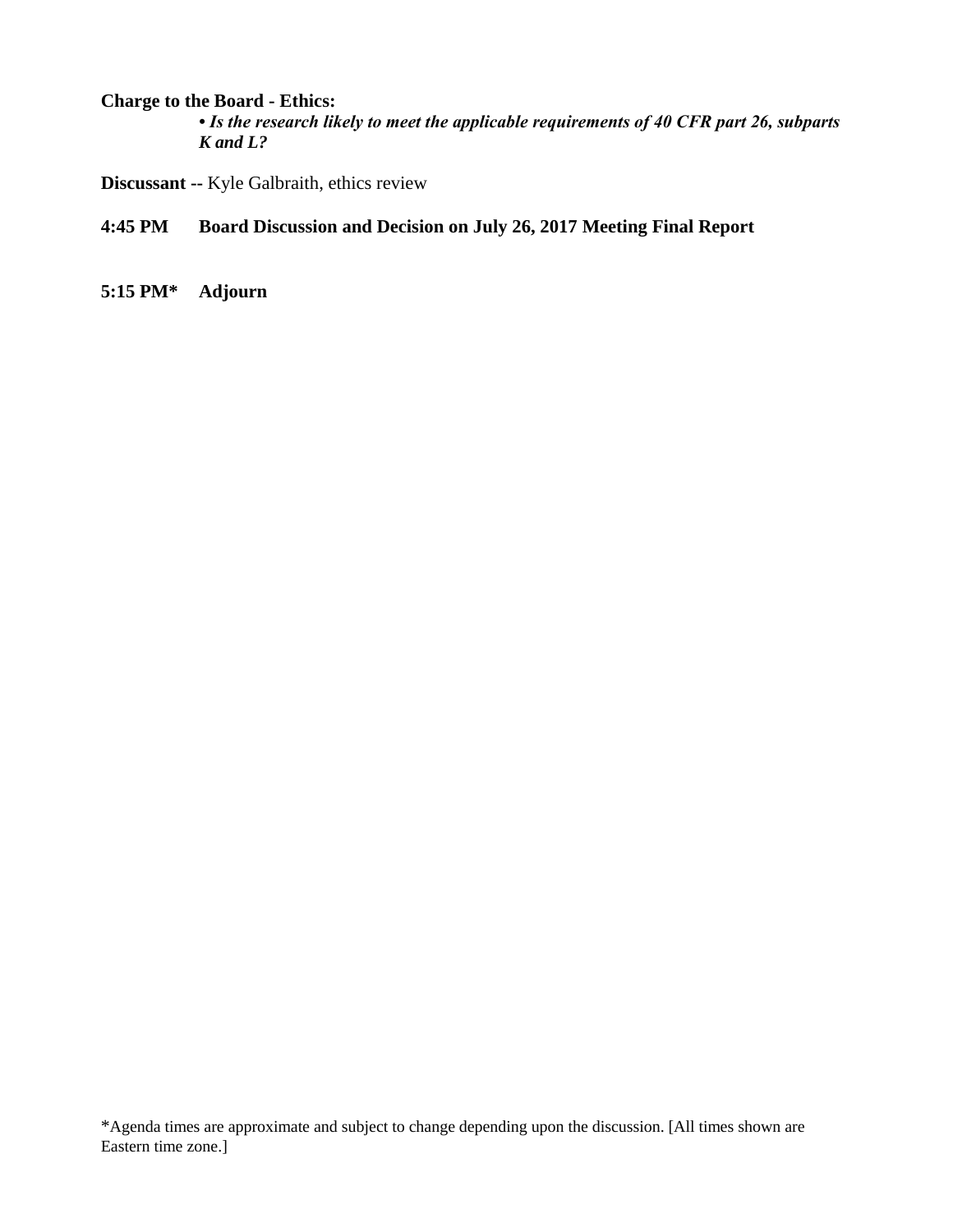## **Charge to the Board - Ethics:**

*• Is the research likely to meet the applicable requirements of 40 CFR part 26, subparts K and L?* 

**Discussant --** Kyle Galbraith, ethics review

- **4:45 PM Board Discussion and Decision on July 26, 2017 Meeting Final Report**
- **5:15 PM\* Adjourn**